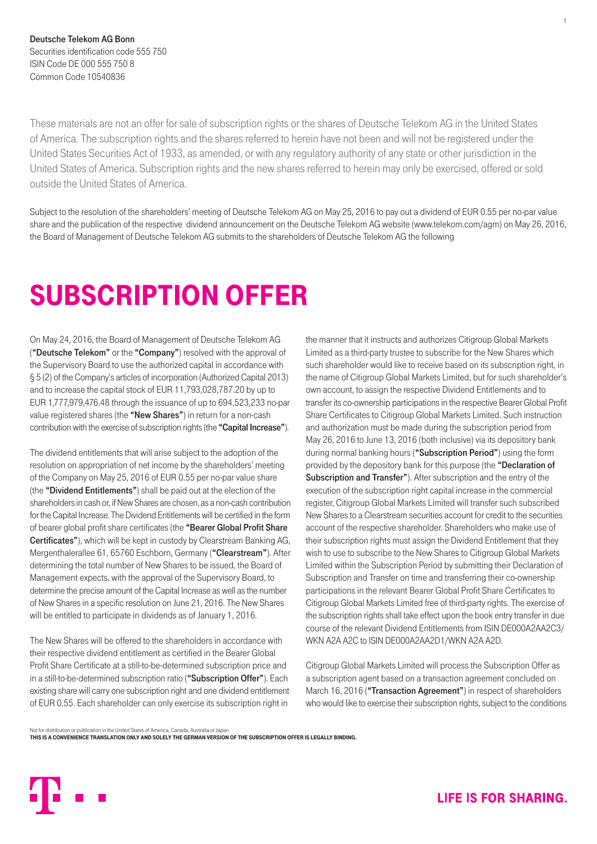Deutsche Telekom AG Bonn Securities identification code 555 750 ISIN Code DE 000 555 750 8 Common Code 10540836

These materials are not an offer for sale of subscription rights or the shares of Deutsche Telekom AG in the United States of America. The subscription rights and the shares referred to herein have not been and will not be registered under the United States Securities Act of 1933, as amended, or with any regulatory authority of any state or other jurisdiction in the United States of America. Subscription rights and the new shares referred to herein may only be exercised, offered or sold outside the United States of America.

Subject to the resolution of the shareholders' meeting of Deutsche Telekom AG on May 25, 2016 to pay out a dividend of EUR 0.55 per no-par value share and the publication of the respective dividend announcement on the Deutsche Telekom AG website (www.telekom.com/agm) on May 26, 2016, the Board of Management of Deutsche Telekom AG submits to the shareholders of Deutsche Telekom AG the following

# SUBSCRIPTION OFFER

On May 24, 2016, the Board of Management of Deutsche Telekom AG ("Deutsche Telekom" or the "Company") resolved with the approval of the Supervisory Board to use the authorized capital in accordance with § 5 (2) of the Company's articles of incorporation (Authorized Capital 2013) and to increase the capital stock of EUR 11,793,028,787.20 by up to EUR 1,777,979,476.48 through the issuance of up to 694,523,233 no-par value registered shares (the "New Shares") in return for a non-cash contribution with the exercise of subscription rights (the "Capital Increase").

The dividend entitlements that will arise subject to the adoption of the resolution on appropriation of net income by the shareholders' meeting of the Company on May 25, 2016 of EUR 0.55 per no-par value share (the "Dividend Entitlements") shall be paid out at the election of the shareholders in cash or, if New Shares are chosen, as a non-cash contribution for the Capital Increase. The Dividend Entitlements will be certified in the form of bearer global profit share certificates (the "Bearer Global Profit Share Certificates"), which will be kept in custody by Clearstream Banking AG, Mergenthalerallee 61, 65760 Eschborn, Germany ("Clearstream"). After determining the total number of New Shares to be issued, the Board of Management expects, with the approval of the Supervisory Board, to determine the precise amount of the Capital Increase as well as the number of New Shares in a specific resolution on June 21, 2016. The New Shares will be entitled to participate in dividends as of January 1, 2016.

The New Shares will be offered to the shareholders in accordance with their respective dividend entitlement as certified in the Bearer Global Profit Share Certificate at a still-to-be-determined subscription price and in a still-to-be-determined subscription ratio ("Subscription Offer"). Each existing share will carry one subscription right and one dividend entitlement of EUR 0.55. Each shareholder can only exercise its subscription right in

the manner that it instructs and authorizes Citigroup Global Markets Limited as a third-party trustee to subscribe for the New Shares which such shareholder would like to receive based on its subscription right, in the name of Citigroup Global Markets Limited, but for such shareholder's own account, to assign the respective Dividend Entitlements and to transfer its co-ownership participations in the respective Bearer Global Profit Share Certificates to Citigroup Global Markets Limited. Such instruction and authorization must be made during the subscription period from May 26, 2016 to June 13, 2016 (both inclusive) via its depository bank during normal banking hours ("Subscription Period") using the form provided by the depository bank for this purpose (the "Declaration of Subscription and Transfer"). After subscription and the entry of the execution of the subscription right capital increase in the commercial register, Citigroup Global Markets Limited will transfer such subscribed New Shares to a Clearstream securities account for credit to the securities account of the respective shareholder. Shareholders who make use of their subscription rights must assign the Dividend Entitlement that they wish to use to subscribe to the New Shares to Citigroup Global Markets Limited within the Subscription Period by submitting their Declaration of Subscription and Transfer on time and transferring their co-ownership participations in the relevant Bearer Global Profit Share Certificates to Citigroup Global Markets Limited free of third-party rights. The exercise of the subscription rights shall take effect upon the book entry transfer in due course of the relevant Dividend Entitlements from ISIN DE000A2AA2C3/ WKN A2A A2C to ISIN DE000A2AA2D1/WKN A2A A2D.

Citigroup Global Markets Limited will process the Subscription Offer as a subscription agent based on a transaction agreement concluded on March 16, 2016 ("Transaction Agreement") in respect of shareholders who would like to exercise their subscription rights, subject to the conditions

Not for distribution or publication in the United States of America, Canada, Australia or Japan

THIS IS A CONVENIENCE TRANSLATION ONLY AND SOLELY THE GERMAN VERSION OF THE SUBSCRIPTION OFFER IS LEGALLY BINDING.



1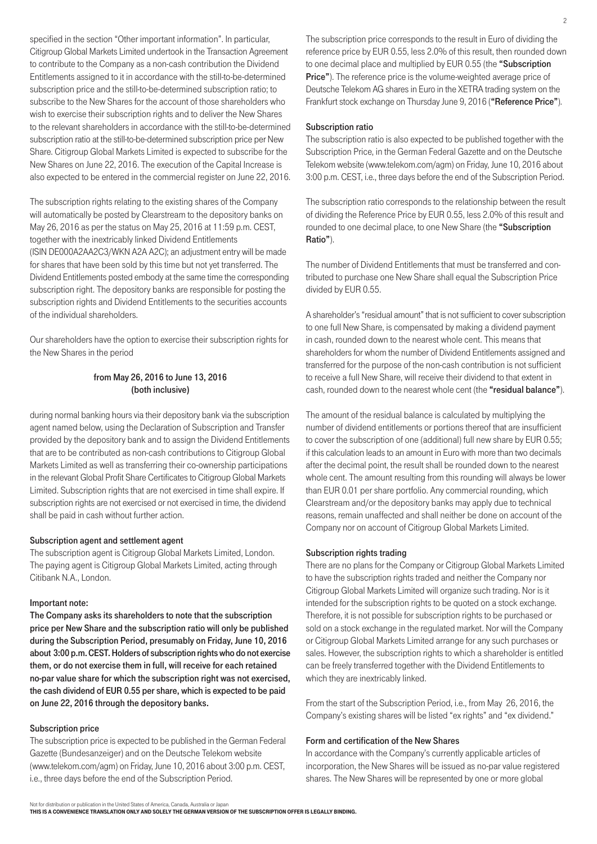specified in the section "Other important information". In particular, Citigroup Global Markets Limited undertook in the Transaction Agreement to contribute to the Company as a non-cash contribution the Dividend Entitlements assigned to it in accordance with the still-to-be-determined subscription price and the still-to-be-determined subscription ratio; to subscribe to the New Shares for the account of those shareholders who wish to exercise their subscription rights and to deliver the New Shares to the relevant shareholders in accordance with the still-to-be-determined subscription ratio at the still-to-be-determined subscription price per New Share. Citigroup Global Markets Limited is expected to subscribe for the New Shares on June 22, 2016. The execution of the Capital Increase is also expected to be entered in the commercial register on June 22, 2016.

The subscription rights relating to the existing shares of the Company will automatically be posted by Clearstream to the depository banks on May 26, 2016 as per the status on May 25, 2016 at 11:59 p.m. CEST, together with the inextricably linked Dividend Entitlements (ISIN DE000A2AA2C3/WKN A2A A2C); an adjustment entry will be made for shares that have been sold by this time but not yet transferred. The Dividend Entitlements posted embody at the same time the corresponding subscription right. The depository banks are responsible for posting the subscription rights and Dividend Entitlements to the securities accounts of the individual shareholders.

Our shareholders have the option to exercise their subscription rights for the New Shares in the period

# from May 26, 2016 to June 13, 2016 (both inclusive)

during normal banking hours via their depository bank via the subscription agent named below, using the Declaration of Subscription and Transfer provided by the depository bank and to assign the Dividend Entitlements that are to be contributed as non-cash contributions to Citigroup Global Markets Limited as well as transferring their co-ownership participations in the relevant Global Profit Share Certificates to Citigroup Global Markets Limited. Subscription rights that are not exercised in time shall expire. If subscription rights are not exercised or not exercised in time, the dividend shall be paid in cash without further action.

# Subscription agent and settlement agent

The subscription agent is Citigroup Global Markets Limited, London. The paying agent is Citigroup Global Markets Limited, acting through Citibank N.A., London.

#### Important note:

The Company asks its shareholders to note that the subscription price per New Share and the subscription ratio will only be published during the Subscription Period, presumably on Friday, June 10, 2016 about 3:00 p.m. CEST. Holders of subscription rights who do not exercise them, or do not exercise them in full, will receive for each retained no-par value share for which the subscription right was not exercised, the cash dividend of EUR 0.55 per share, which is expected to be paid on June 22, 2016 through the depository banks.

## Subscription price

The subscription price is expected to be published in the German Federal Gazette (Bundesanzeiger) and on the Deutsche Telekom website (www.telekom.com/agm) on Friday, June 10, 2016 about 3:00 p.m. CEST, i.e., three days before the end of the Subscription Period.

The subscription price corresponds to the result in Euro of dividing the reference price by EUR 0.55, less 2.0% of this result, then rounded down to one decimal place and multiplied by EUR 0.55 (the "Subscription" **Price"**). The reference price is the volume-weighted average price of Deutsche Telekom AG shares in Euro in the XETRA trading system on the Frankfurt stock exchange on Thursday June 9, 2016 ("Reference Price").

# Subscription ratio

The subscription ratio is also expected to be published together with the Subscription Price, in the German Federal Gazette and on the Deutsche Telekom website (www.telekom.com/agm) on Friday, June 10, 2016 about 3:00 p.m. CEST, i.e., three days before the end of the Subscription Period.

The subscription ratio corresponds to the relationship between the result of dividing the Reference Price by EUR 0.55, less 2.0% of this result and rounded to one decimal place, to one New Share (the "Subscription Ratio").

The number of Dividend Entitlements that must be transferred and contributed to purchase one New Share shall equal the Subscription Price divided by EUR 0.55.

A shareholder's "residual amount" that is not sufficient to cover subscription to one full New Share, is compensated by making a dividend payment in cash, rounded down to the nearest whole cent. This means that shareholders for whom the number of Dividend Entitlements assigned and transferred for the purpose of the non-cash contribution is not sufficient to receive a full New Share, will receive their dividend to that extent in cash, rounded down to the nearest whole cent (the "residual balance").

The amount of the residual balance is calculated by multiplying the number of dividend entitlements or portions thereof that are insufficient to cover the subscription of one (additional) full new share by EUR 0.55; if this calculation leads to an amount in Euro with more than two decimals after the decimal point, the result shall be rounded down to the nearest whole cent. The amount resulting from this rounding will always be lower than EUR 0.01 per share portfolio. Any commercial rounding, which Clearstream and/or the depository banks may apply due to technical reasons, remain unaffected and shall neither be done on account of the Company nor on account of Citigroup Global Markets Limited.

# Subscription rights trading

There are no plans for the Company or Citigroup Global Markets Limited to have the subscription rights traded and neither the Company nor Citigroup Global Markets Limited will organize such trading. Nor is it intended for the subscription rights to be quoted on a stock exchange. Therefore, it is not possible for subscription rights to be purchased or sold on a stock exchange in the regulated market. Nor will the Company or Citigroup Global Markets Limited arrange for any such purchases or sales. However, the subscription rights to which a shareholder is entitled can be freely transferred together with the Dividend Entitlements to which they are inextricably linked.

From the start of the Subscription Period, i.e., from May 26, 2016, the Company's existing shares will be listed "ex rights" and "ex dividend."

# Form and certification of the New Shares

In accordance with the Company's currently applicable articles of incorporation, the New Shares will be issued as no-par value registered shares. The New Shares will be represented by one or more global

THIS IS A CONVENIENCE TRANSLATION ONLY AND SOLELY THE GERMAN VERSION OF THE SUBSCRIPTION OFFER IS LEGALLY BINDING.